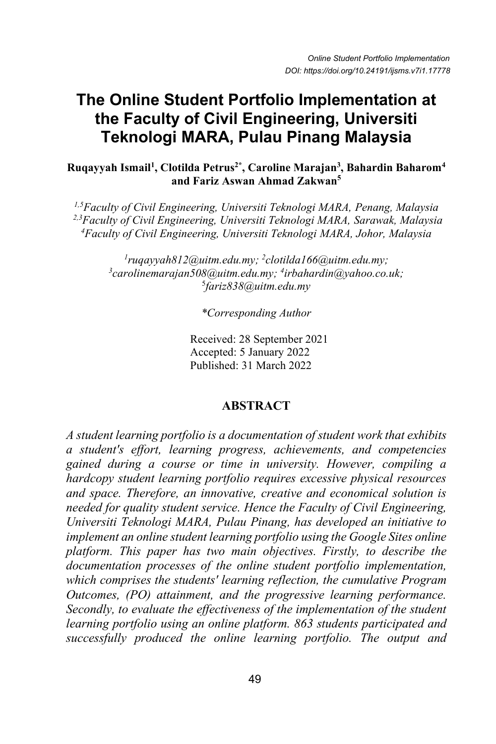# **The Online Student Portfolio Implementation at the Faculty of Civil Engineering, Universiti Teknologi MARA, Pulau Pinang Malaysia**

**Ruqayyah Ismail1 , Clotilda Petrus2\* , Caroline Marajan3 , Bahardin Baharom4 and Fariz Aswan Ahmad Zakwan5**

*1,5Faculty of Civil Engineering, Universiti Teknologi MARA, Penang, Malaysia 2,3Faculty of Civil Engineering, Universiti Teknologi MARA, Sarawak, Malaysia 4 Faculty of Civil Engineering, Universiti Teknologi MARA, Johor, Malaysia*

*1 ruqayyah812@uitm.edu.my; 2 clotilda166@uitm.edu.my; 3 carolinemarajan508@uitm.edu.my; <sup>4</sup> irbahardin@yahoo.co.uk;* 5 *fariz838@uitm.edu.my*

*\*Corresponding Author*

Received: 28 September 2021 Accepted: 5 January 2022 Published: 31 March 2022

### **ABSTRACT**

*A student learning portfolio is a documentation of student work that exhibits a student's effort, learning progress, achievements, and competencies gained during a course or time in university. However, compiling a hardcopy student learning portfolio requires excessive physical resources and space. Therefore, an innovative, creative and economical solution is needed for quality student service. Hence the Faculty of Civil Engineering, Universiti Teknologi MARA, Pulau Pinang, has developed an initiative to implement an online student learning portfolio using the Google Sites online platform. This paper has two main objectives. Firstly, to describe the documentation processes of the online student portfolio implementation, which comprises the students' learning reflection, the cumulative Program Outcomes, (PO) attainment, and the progressive learning performance. Secondly, to evaluate the effectiveness of the implementation of the student learning portfolio using an online platform. 863 students participated and successfully produced the online learning portfolio. The output and*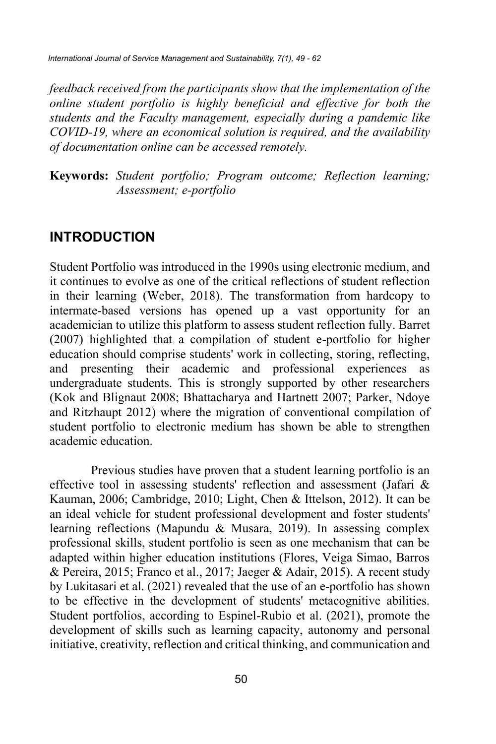*feedback received from the participants show that the implementation of the online student portfolio is highly beneficial and effective for both the students and the Faculty management, especially during a pandemic like COVID-19, where an economical solution is required, and the availability of documentation online can be accessed remotely.* 

**Keywords:** *Student portfolio; Program outcome; Reflection learning; Assessment; e-portfolio*

### **INTRODUCTION**

Student Portfolio was introduced in the 1990s using electronic medium, and it continues to evolve as one of the critical reflections of student reflection in their learning (Weber, 2018). The transformation from hardcopy to intermate-based versions has opened up a vast opportunity for an academician to utilize this platform to assess student reflection fully. Barret (2007) highlighted that a compilation of student e-portfolio for higher education should comprise students' work in collecting, storing, reflecting, and presenting their academic and professional experiences as undergraduate students. This is strongly supported by other researchers (Kok and Blignaut 2008; Bhattacharya and Hartnett 2007; Parker, Ndoye and Ritzhaupt 2012) where the migration of conventional compilation of student portfolio to electronic medium has shown be able to strengthen academic education.

Previous studies have proven that a student learning portfolio is an effective tool in assessing students' reflection and assessment (Jafari & Kauman, 2006; Cambridge, 2010; Light, Chen & Ittelson, 2012). It can be an ideal vehicle for student professional development and foster students' learning reflections (Mapundu & Musara, 2019). In assessing complex professional skills, student portfolio is seen as one mechanism that can be adapted within higher education institutions (Flores, Veiga Simao, Barros & Pereira, 2015; Franco et al., 2017; Jaeger & Adair, 2015). A recent study by Lukitasari et al. (2021) revealed that the use of an e-portfolio has shown to be effective in the development of students' metacognitive abilities. Student portfolios, according to Espinel-Rubio et al. (2021), promote the development of skills such as learning capacity, autonomy and personal initiative, creativity, reflection and critical thinking, and communication and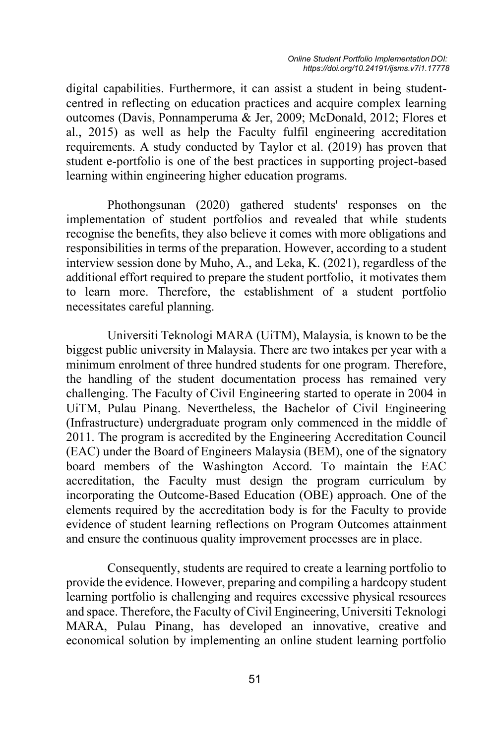digital capabilities. Furthermore, it can assist a student in being studentcentred in reflecting on education practices and acquire complex learning outcomes (Davis, Ponnamperuma & Jer, 2009; McDonald, 2012; Flores et al., 2015) as well as help the Faculty fulfil engineering accreditation requirements. A study conducted by Taylor et al. (2019) has proven that student e-portfolio is one of the best practices in supporting project-based learning within engineering higher education programs.

 Phothongsunan (2020) gathered students' responses on the implementation of student portfolios and revealed that while students recognise the benefits, they also believe it comes with more obligations and responsibilities in terms of the preparation. However, according to a student interview session done by Muho, A., and Leka, K. (2021), regardless of the additional effort required to prepare the student portfolio, it motivates them to learn more. Therefore, the establishment of a student portfolio necessitates careful planning.

Universiti Teknologi MARA (UiTM), Malaysia, is known to be the biggest public university in Malaysia. There are two intakes per year with a minimum enrolment of three hundred students for one program. Therefore, the handling of the student documentation process has remained very challenging. The Faculty of Civil Engineering started to operate in 2004 in UiTM, Pulau Pinang. Nevertheless, the Bachelor of Civil Engineering (Infrastructure) undergraduate program only commenced in the middle of 2011. The program is accredited by the Engineering Accreditation Council (EAC) under the Board of Engineers Malaysia (BEM), one of the signatory board members of the Washington Accord. To maintain the EAC accreditation, the Faculty must design the program curriculum by incorporating the Outcome-Based Education (OBE) approach. One of the elements required by the accreditation body is for the Faculty to provide evidence of student learning reflections on Program Outcomes attainment and ensure the continuous quality improvement processes are in place.

Consequently, students are required to create a learning portfolio to provide the evidence. However, preparing and compiling a hardcopy student learning portfolio is challenging and requires excessive physical resources and space. Therefore, the Faculty of Civil Engineering, Universiti Teknologi MARA, Pulau Pinang, has developed an innovative, creative and economical solution by implementing an online student learning portfolio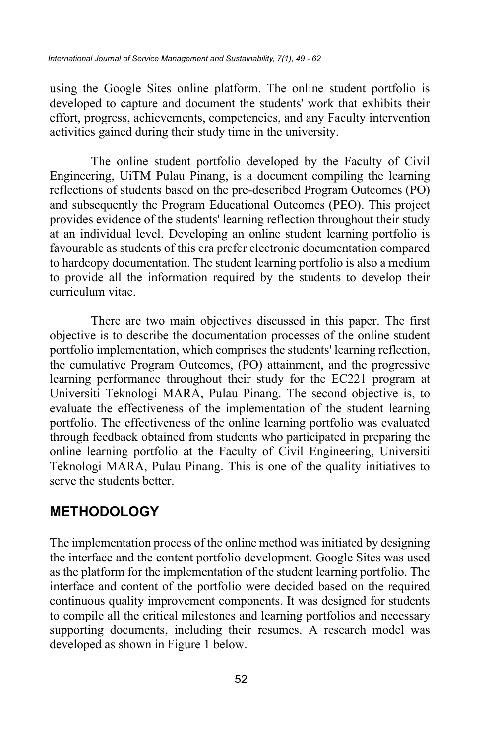using the Google Sites online platform. The online student portfolio is developed to capture and document the students' work that exhibits their effort, progress, achievements, competencies, and any Faculty intervention activities gained during their study time in the university.

The online student portfolio developed by the Faculty of Civil Engineering, UiTM Pulau Pinang, is a document compiling the learning reflections of students based on the pre-described Program Outcomes (PO) and subsequently the Program Educational Outcomes (PEO). This project provides evidence of the students' learning reflection throughout their study at an individual level. Developing an online student learning portfolio is favourable as students of this era prefer electronic documentation compared to hardcopy documentation. The student learning portfolio is also a medium to provide all the information required by the students to develop their curriculum vitae.

There are two main objectives discussed in this paper. The first objective is to describe the documentation processes of the online student portfolio implementation, which comprises the students' learning reflection, the cumulative Program Outcomes, (PO) attainment, and the progressive learning performance throughout their study for the EC221 program at Universiti Teknologi MARA, Pulau Pinang. The second objective is, to evaluate the effectiveness of the implementation of the student learning portfolio. The effectiveness of the online learning portfolio was evaluated through feedback obtained from students who participated in preparing the online learning portfolio at the Faculty of Civil Engineering, Universiti Teknologi MARA, Pulau Pinang. This is one of the quality initiatives to serve the students better.

### **METHODOLOGY**

The implementation process of the online method was initiated by designing the interface and the content portfolio development. Google Sites was used as the platform for the implementation of the student learning portfolio. The interface and content of the portfolio were decided based on the required continuous quality improvement components. It was designed for students to compile all the critical milestones and learning portfolios and necessary supporting documents, including their resumes. A research model was developed as shown in Figure 1 below.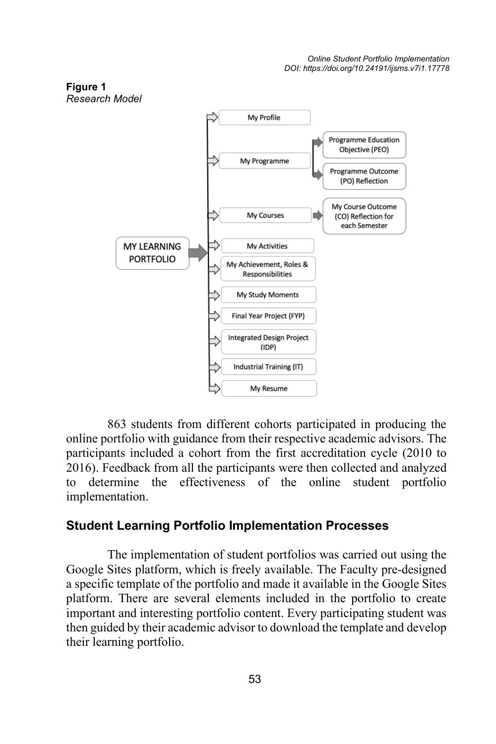

863 students from different cohorts participated in producing the online portfolio with guidance from their respective academic advisors. The participants included a cohort from the first accreditation cycle (2010 to 2016). Feedback from all the participants were then collected and analyzed to determine the effectiveness of the online student portfolio implementation.

### **Student Learning Portfolio Implementation Processes**

The implementation of student portfolios was carried out using the Google Sites platform, which is freely available. The Faculty pre-designed a specific template of the portfolio and made it available in the Google Sites platform. There are several elements included in the portfolio to create important and interesting portfolio content. Every participating student was then guided by their academic advisor to download the template and develop their learning portfolio.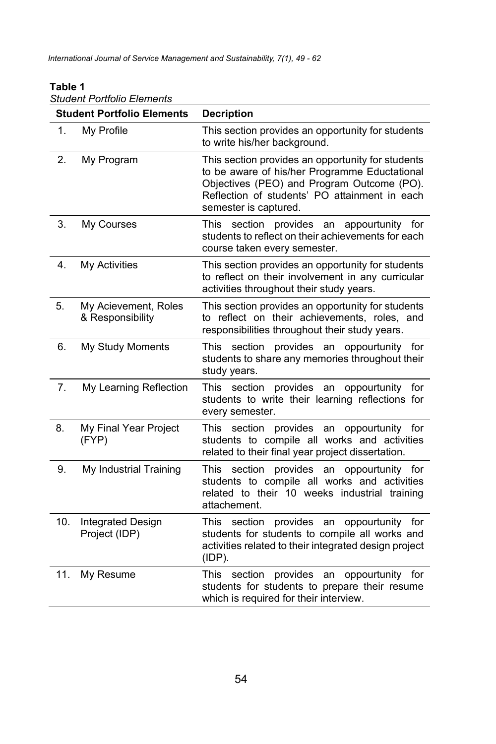#### *Student Portfolio Elements* **Student Portfolio Elements Decription** 1. My Profile This section provides an opportunity for students to write his/her background. 2. My Program This section provides an opportunity for students to be aware of his/her Programme Eductational Objectives (PEO) and Program Outcome (PO). Reflection of students' PO attainment in each semester is captured. 3. My Courses This section provides an appourtunity for students to reflect on their achievements for each course taken every semester. 4. My Activities This section provides an opportunity for students to reflect on their involvement in any curricular activities throughout their study years. 5. My Acievement, Roles & Responsibility This section provides an opportunity for students to reflect on their achievements, roles, and responsibilities throughout their study years. 6. My Study Moments This section provides an oppourtunity for students to share any memories throughout their study years. 7. My Learning Reflection This section provides an oppourtunity for students to write their learning reflections for every semester. 8. My Final Year Project (FYP) This section provides an oppourtunity for students to compile all works and activities related to their final year project dissertation. 9. My Industrial Training This section provides an oppourtunity for students to compile all works and activities related to their 10 weeks industrial training attachement. 10. Integrated Design Project (IDP) This section provides an oppourtunity for students for students to compile all works and activities related to their integrated design project (IDP). 11. My Resume This section provides an oppourtunity for students for students to prepare their resume which is required for their interview.

#### **Table 1**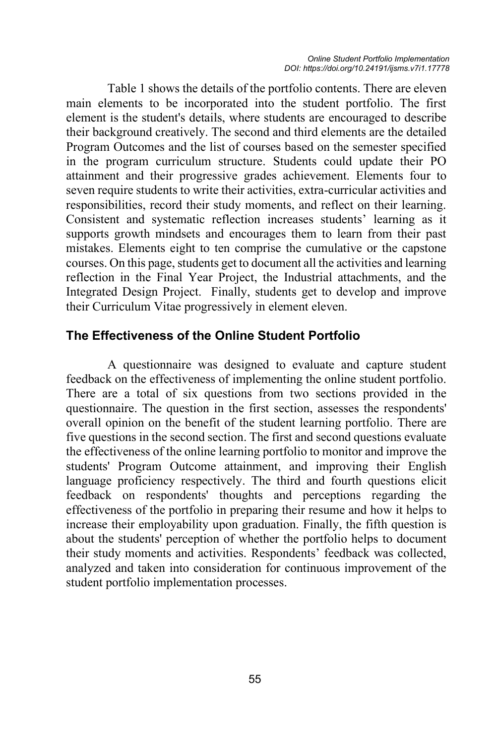Table 1 shows the details of the portfolio contents. There are eleven main elements to be incorporated into the student portfolio. The first element is the student's details, where students are encouraged to describe their background creatively. The second and third elements are the detailed Program Outcomes and the list of courses based on the semester specified in the program curriculum structure. Students could update their PO attainment and their progressive grades achievement. Elements four to seven require students to write their activities, extra-curricular activities and responsibilities, record their study moments, and reflect on their learning. Consistent and systematic reflection increases students' learning as it supports growth mindsets and encourages them to learn from their past mistakes. Elements eight to ten comprise the cumulative or the capstone courses. On this page, students get to document all the activities and learning reflection in the Final Year Project, the Industrial attachments, and the Integrated Design Project. Finally, students get to develop and improve their Curriculum Vitae progressively in element eleven.

### **The Effectiveness of the Online Student Portfolio**

A questionnaire was designed to evaluate and capture student feedback on the effectiveness of implementing the online student portfolio. There are a total of six questions from two sections provided in the questionnaire. The question in the first section, assesses the respondents' overall opinion on the benefit of the student learning portfolio. There are five questions in the second section. The first and second questions evaluate the effectiveness of the online learning portfolio to monitor and improve the students' Program Outcome attainment, and improving their English language proficiency respectively. The third and fourth questions elicit feedback on respondents' thoughts and perceptions regarding the effectiveness of the portfolio in preparing their resume and how it helps to increase their employability upon graduation. Finally, the fifth question is about the students' perception of whether the portfolio helps to document their study moments and activities. Respondents' feedback was collected, analyzed and taken into consideration for continuous improvement of the student portfolio implementation processes.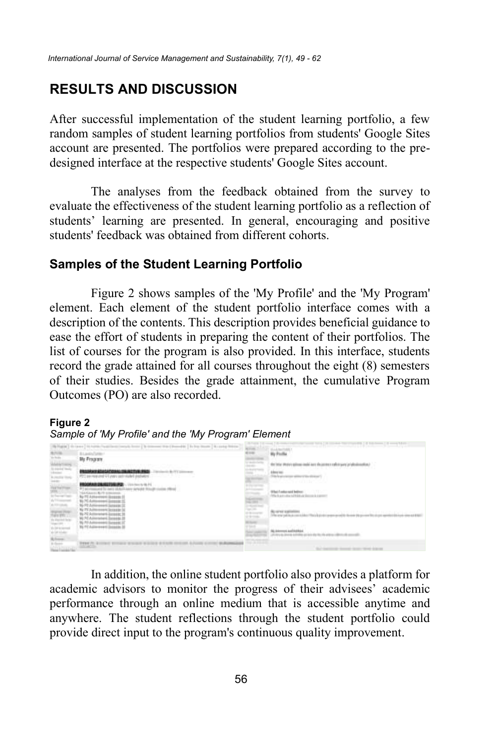## **RESULTS AND DISCUSSION**

After successful implementation of the student learning portfolio, a few random samples of student learning portfolios from students' Google Sites account are presented. The portfolios were prepared according to the predesigned interface at the respective students' Google Sites account.

The analyses from the feedback obtained from the survey to evaluate the effectiveness of the student learning portfolio as a reflection of students' learning are presented. In general, encouraging and positive students' feedback was obtained from different cohorts.

### **Samples of the Student Learning Portfolio**

Figure 2 shows samples of the 'My Profile' and the 'My Program' element. Each element of the student portfolio interface comes with a description of the contents. This description provides beneficial guidance to ease the effort of students in preparing the content of their portfolios. The list of courses for the program is also provided. In this interface, students record the grade attained for all courses throughout the eight (8) semesters of their studies. Besides the grade attainment, the cumulative Program Outcomes (PO) are also recorded.

#### **Figure 2**

#### *Sample of 'My Profile' and the 'My Program' Element*

| and the project from 1 to the                                                                                                                     |                                                      |   |                                                                                                                      |
|---------------------------------------------------------------------------------------------------------------------------------------------------|------------------------------------------------------|---|----------------------------------------------------------------------------------------------------------------------|
|                                                                                                                                                   | Bilantsfamer<br><b>By Francey</b>                    | ≕ |                                                                                                                      |
|                                                                                                                                                   | STORY CALLING FOR A STREET CHARGE                    |   | the company and a series process a character than the first                                                          |
| E                                                                                                                                                 | SERVICE CONTROLS IN ACTIVITY (THE CONTROL)           |   | the fundamental subsecuration of the con-                                                                            |
| $\begin{tabular}{ c c c c } \hline $n$ & $n$ & $n$ & $n$ \\ \hline $n$ & $n$ & $n$ & $n$ \\ \hline $n$ & $n$ & $n$ & $n$ \\ \hline \end{tabular}$ |                                                      |   | an Albance and in the Sale<br>i Bagi II sadan saddi Badileen.<br>Ha ik an rustus na'rthich air illennon is is proven |
|                                                                                                                                                   |                                                      | E |                                                                                                                      |
| <b>GUNT</b>                                                                                                                                       | The Commission of FAIR Co.                           | ≂ |                                                                                                                      |
| $\rightarrow$                                                                                                                                     | THE R. P. LEWIS CO., LANSING, MICH. 49-14039-1-120-2 |   |                                                                                                                      |

In addition, the online student portfolio also provides a platform for academic advisors to monitor the progress of their advisees' academic performance through an online medium that is accessible anytime and anywhere. The student reflections through the student portfolio could provide direct input to the program's continuous quality improvement.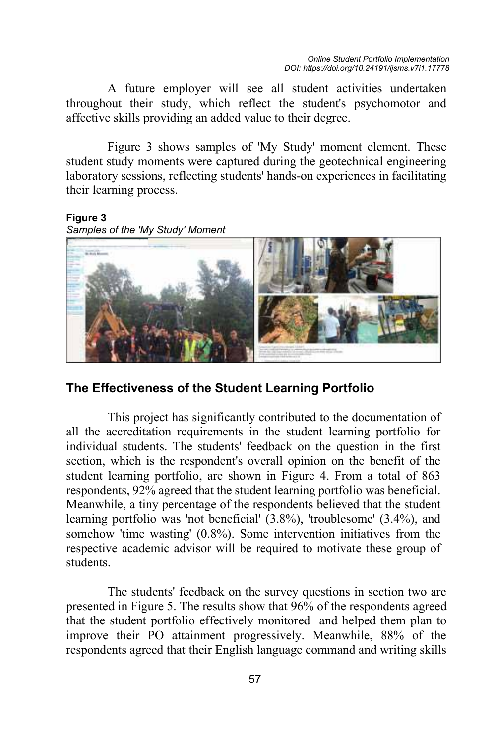A future employer will see all student activities undertaken throughout their study, which reflect the student's psychomotor and affective skills providing an added value to their degree.

Figure 3 shows samples of 'My Study' moment element. These student study moments were captured during the geotechnical engineering laboratory sessions, reflecting students' hands-on experiences in facilitating their learning process.

**Figure 3** *Samples of the 'My Study' Moment*



### **The Effectiveness of the Student Learning Portfolio**

This project has significantly contributed to the documentation of all the accreditation requirements in the student learning portfolio for individual students. The students' feedback on the question in the first section, which is the respondent's overall opinion on the benefit of the student learning portfolio, are shown in Figure 4. From a total of 863 respondents, 92% agreed that the student learning portfolio was beneficial. Meanwhile, a tiny percentage of the respondents believed that the student learning portfolio was 'not beneficial' (3.8%), 'troublesome' (3.4%), and somehow 'time wasting' (0.8%). Some intervention initiatives from the respective academic advisor will be required to motivate these group of students.

The students' feedback on the survey questions in section two are presented in Figure 5. The results show that 96% of the respondents agreed that the student portfolio effectively monitored and helped them plan to improve their PO attainment progressively. Meanwhile, 88% of the respondents agreed that their English language command and writing skills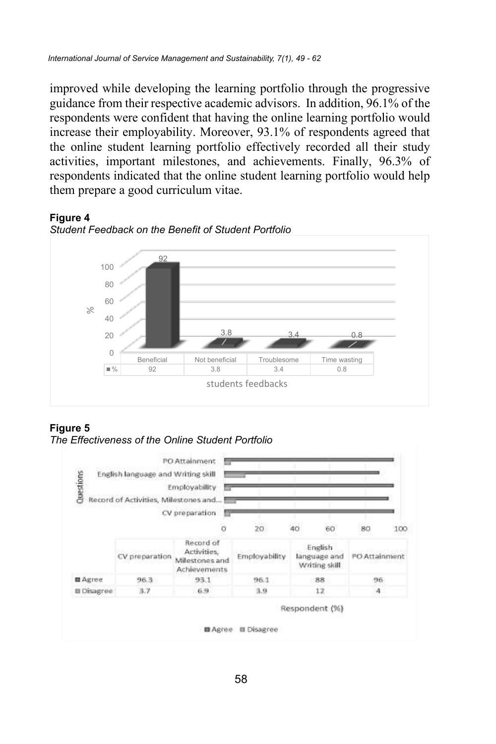improved while developing the learning portfolio through the progressive guidance from their respective academic advisors. In addition, 96.1% of the respondents were confident that having the online learning portfolio would increase their employability. Moreover, 93.1% of respondents agreed that the online student learning portfolio effectively recorded all their study activities, important milestones, and achievements. Finally, 96.3% of respondents indicated that the online student learning portfolio would help them prepare a good curriculum vitae.







#### **Figure 5**

*The Effectiveness of the Online Student Portfolio*

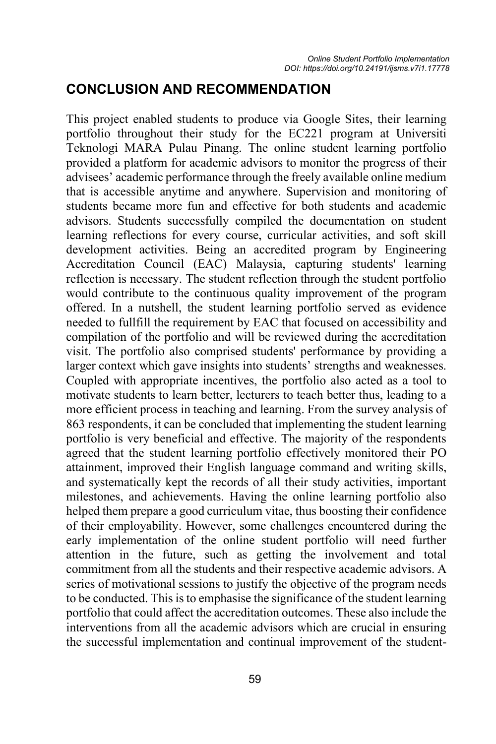## **CONCLUSION AND RECOMMENDATION**

This project enabled students to produce via Google Sites, their learning portfolio throughout their study for the EC221 program at Universiti Teknologi MARA Pulau Pinang. The online student learning portfolio provided a platform for academic advisors to monitor the progress of their advisees' academic performance through the freely available online medium that is accessible anytime and anywhere. Supervision and monitoring of students became more fun and effective for both students and academic advisors. Students successfully compiled the documentation on student learning reflections for every course, curricular activities, and soft skill development activities. Being an accredited program by Engineering Accreditation Council (EAC) Malaysia, capturing students' learning reflection is necessary. The student reflection through the student portfolio would contribute to the continuous quality improvement of the program offered. In a nutshell, the student learning portfolio served as evidence needed to fullfill the requirement by EAC that focused on accessibility and compilation of the portfolio and will be reviewed during the accreditation visit. The portfolio also comprised students' performance by providing a larger context which gave insights into students' strengths and weaknesses. Coupled with appropriate incentives, the portfolio also acted as a tool to motivate students to learn better, lecturers to teach better thus, leading to a more efficient process in teaching and learning. From the survey analysis of 863 respondents, it can be concluded that implementing the student learning portfolio is very beneficial and effective. The majority of the respondents agreed that the student learning portfolio effectively monitored their PO attainment, improved their English language command and writing skills, and systematically kept the records of all their study activities, important milestones, and achievements. Having the online learning portfolio also helped them prepare a good curriculum vitae, thus boosting their confidence of their employability. However, some challenges encountered during the early implementation of the online student portfolio will need further attention in the future, such as getting the involvement and total commitment from all the students and their respective academic advisors. A series of motivational sessions to justify the objective of the program needs to be conducted. This is to emphasise the significance of the student learning portfolio that could affect the accreditation outcomes. These also include the interventions from all the academic advisors which are crucial in ensuring the successful implementation and continual improvement of the student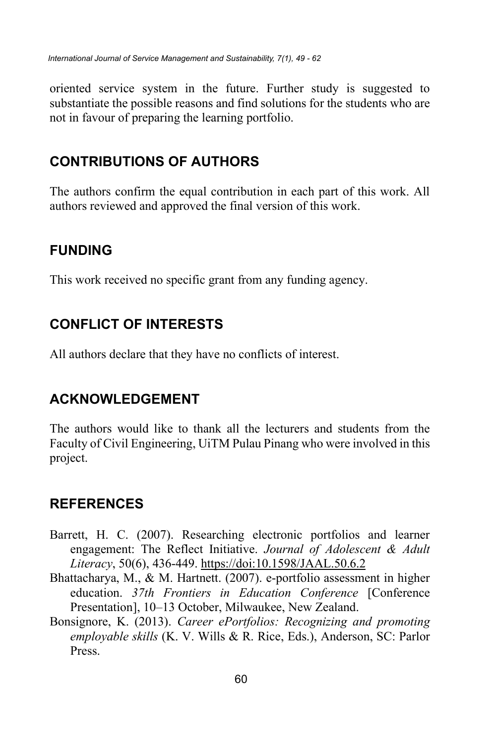oriented service system in the future. Further study is suggested to substantiate the possible reasons and find solutions for the students who are not in favour of preparing the learning portfolio.

## **CONTRIBUTIONS OF AUTHORS**

The authors confirm the equal contribution in each part of this work. All authors reviewed and approved the final version of this work.

## **FUNDING**

This work received no specific grant from any funding agency.

## **CONFLICT OF INTERESTS**

All authors declare that they have no conflicts of interest.

## **ACKNOWLEDGEMENT**

The authors would like to thank all the lecturers and students from the Faculty of Civil Engineering, UiTM Pulau Pinang who were involved in this project.

## **REFERENCES**

- Barrett, H. C. (2007). Researching electronic portfolios and learner engagement: The Reflect Initiative. *Journal of Adolescent & Adult Literacy*, 50(6), 436-449. https://doi:10.1598/JAAL.50.6.2
- Bhattacharya, M., & M. Hartnett. (2007). e-portfolio assessment in higher education. *37th Frontiers in Education Conference* [Conference Presentation], 10–13 October, Milwaukee, New Zealand.
- Bonsignore, K. (2013). *Career ePortfolios: Recognizing and promoting employable skills* (K. V. Wills & R. Rice, Eds.), Anderson, SC: Parlor Press.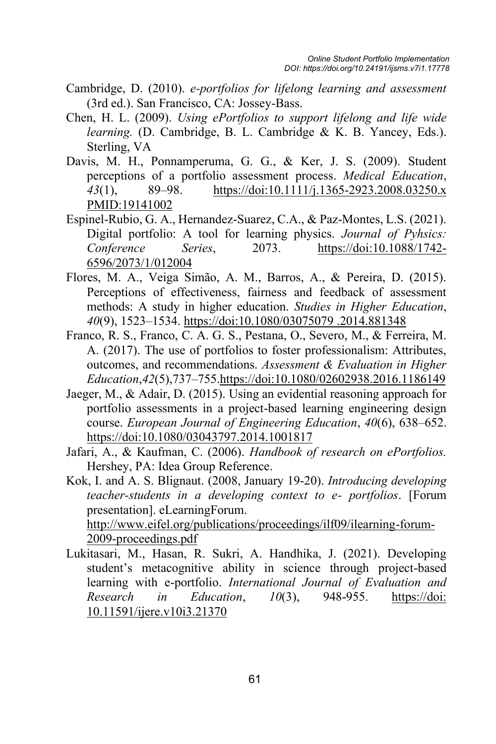- Cambridge, D. (2010). *e-portfolios for lifelong learning and assessment* (3rd ed.). San Francisco, CA: Jossey-Bass.
- Chen, H. L. (2009). *Using ePortfolios to support lifelong and life wide learning.* (D. Cambridge, B. L. Cambridge & K. B. Yancey, Eds.). Sterling, VA
- Davis, M. H., Ponnamperuma, G. G., & Ker, J. S. (2009). Student perceptions of a portfolio assessment process. *Medical Education*, *43*(1), 89–98. https://doi:10.1111/j.1365-2923.2008.03250.x PMID:19141002
- Espinel-Rubio, G. A., Hernandez-Suarez, C.A., & Paz-Montes, L.S. (2021). Digital portfolio: A tool for learning physics. *Journal of Pyhsics: Conference Series*, 2073. https://doi:10.1088/1742- 6596/2073/1/012004
- Flores, M. A., Veiga Simão, A. M., Barros, A., & Pereira, D. (2015). Perceptions of effectiveness, fairness and feedback of assessment methods: A study in higher education. *Studies in Higher Education*, *40*(9), 1523–1534. https://doi:10.1080/03075079 .2014.881348
- Franco, R. S., Franco, C. A. G. S., Pestana, O., Severo, M., & Ferreira, M. A. (2017). The use of portfolios to foster professionalism: Attributes, outcomes, and recommendations. *Assessment & Evaluation in Higher Education*,*42*(5),737–755.https://doi:10.1080/02602938.2016.1186149
- Jaeger, M., & Adair, D. (2015). Using an evidential reasoning approach for portfolio assessments in a project-based learning engineering design course. *European Journal of Engineering Education*, *40*(6), 638–652. https://doi:10.1080/03043797.2014.1001817
- Jafari, A., & Kaufman, C. (2006). *Handbook of research on ePortfolios.* Hershey, PA: Idea Group Reference.

Kok, I. and A. S. Blignaut. (2008, January 19-20). *Introducing developing teacher-students in a developing context to e- portfolios*. [Forum presentation]. eLearningForum. http://www.eifel.org/publications/proceedings/ilf09/ilearning-forum-2009-proceedings.pdf

Lukitasari, M., Hasan, R. Sukri, A. Handhika, J. (2021). Developing student's metacognitive ability in science through project-based learning with e-portfolio. *International Journal of Evaluation and Research in Education*, *10*(3), 948-955. https://doi: 10.11591/ijere.v10i3.21370